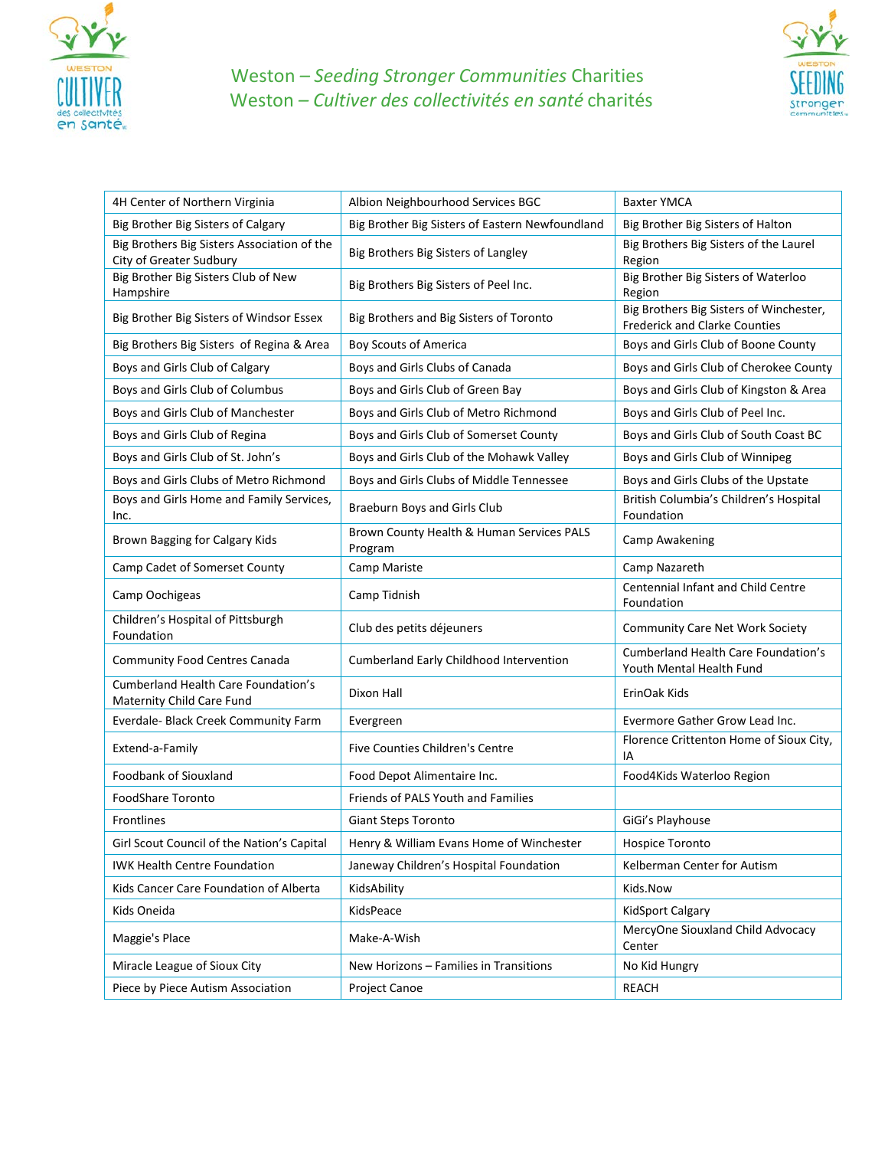

## Weston *– Seeding Stronger Communities* Charities Weston *– Cultiver des collectivités en santé* charités



| 4H Center of Northern Virginia                                          | Albion Neighbourhood Services BGC                    | <b>Baxter YMCA</b>                                                              |
|-------------------------------------------------------------------------|------------------------------------------------------|---------------------------------------------------------------------------------|
| Big Brother Big Sisters of Calgary                                      | Big Brother Big Sisters of Eastern Newfoundland      | Big Brother Big Sisters of Halton                                               |
| Big Brothers Big Sisters Association of the<br>City of Greater Sudbury  | Big Brothers Big Sisters of Langley                  | Big Brothers Big Sisters of the Laurel<br>Region                                |
| Big Brother Big Sisters Club of New<br>Hampshire                        | Big Brothers Big Sisters of Peel Inc.                | Big Brother Big Sisters of Waterloo<br>Region                                   |
| Big Brother Big Sisters of Windsor Essex                                | Big Brothers and Big Sisters of Toronto              | Big Brothers Big Sisters of Winchester,<br><b>Frederick and Clarke Counties</b> |
| Big Brothers Big Sisters of Regina & Area                               | <b>Boy Scouts of America</b>                         | Boys and Girls Club of Boone County                                             |
| Boys and Girls Club of Calgary                                          | Boys and Girls Clubs of Canada                       | Boys and Girls Club of Cherokee County                                          |
| Boys and Girls Club of Columbus                                         | Boys and Girls Club of Green Bay                     | Boys and Girls Club of Kingston & Area                                          |
| Boys and Girls Club of Manchester                                       | Boys and Girls Club of Metro Richmond                | Boys and Girls Club of Peel Inc.                                                |
| Boys and Girls Club of Regina                                           | Boys and Girls Club of Somerset County               | Boys and Girls Club of South Coast BC                                           |
| Boys and Girls Club of St. John's                                       | Boys and Girls Club of the Mohawk Valley             | Boys and Girls Club of Winnipeg                                                 |
| Boys and Girls Clubs of Metro Richmond                                  | Boys and Girls Clubs of Middle Tennessee             | Boys and Girls Clubs of the Upstate                                             |
| Boys and Girls Home and Family Services,<br>Inc.                        | Braeburn Boys and Girls Club                         | British Columbia's Children's Hospital<br>Foundation                            |
| Brown Bagging for Calgary Kids                                          | Brown County Health & Human Services PALS<br>Program | Camp Awakening                                                                  |
| Camp Cadet of Somerset County                                           | Camp Mariste                                         | Camp Nazareth                                                                   |
| Camp Oochigeas                                                          | Camp Tidnish                                         | Centennial Infant and Child Centre<br>Foundation                                |
| Children's Hospital of Pittsburgh<br>Foundation                         | Club des petits déjeuners                            | <b>Community Care Net Work Society</b>                                          |
| <b>Community Food Centres Canada</b>                                    | Cumberland Early Childhood Intervention              | <b>Cumberland Health Care Foundation's</b><br>Youth Mental Health Fund          |
| <b>Cumberland Health Care Foundation's</b><br>Maternity Child Care Fund | Dixon Hall                                           | ErinOak Kids                                                                    |
| Everdale- Black Creek Community Farm                                    | Evergreen                                            | Evermore Gather Grow Lead Inc.                                                  |
| Extend-a-Family                                                         | Five Counties Children's Centre                      | Florence Crittenton Home of Sioux City,<br>IA                                   |
| Foodbank of Siouxland                                                   | Food Depot Alimentaire Inc.                          | Food4Kids Waterloo Region                                                       |
| <b>FoodShare Toronto</b>                                                | Friends of PALS Youth and Families                   |                                                                                 |
| <b>Frontlines</b>                                                       | <b>Giant Steps Toronto</b>                           | GiGi's Playhouse                                                                |
| Girl Scout Council of the Nation's Capital                              | Henry & William Evans Home of Winchester             | Hospice Toronto                                                                 |
| <b>IWK Health Centre Foundation</b>                                     | Janeway Children's Hospital Foundation               | Kelberman Center for Autism                                                     |
| Kids Cancer Care Foundation of Alberta                                  | KidsAbility                                          | Kids.Now                                                                        |
| Kids Oneida                                                             | KidsPeace                                            | <b>KidSport Calgary</b>                                                         |
| Maggie's Place                                                          | Make-A-Wish                                          | MercyOne Siouxland Child Advocacy<br>Center                                     |
| Miracle League of Sioux City                                            | New Horizons - Families in Transitions               | No Kid Hungry                                                                   |
| Piece by Piece Autism Association                                       | <b>Project Canoe</b>                                 | <b>REACH</b>                                                                    |